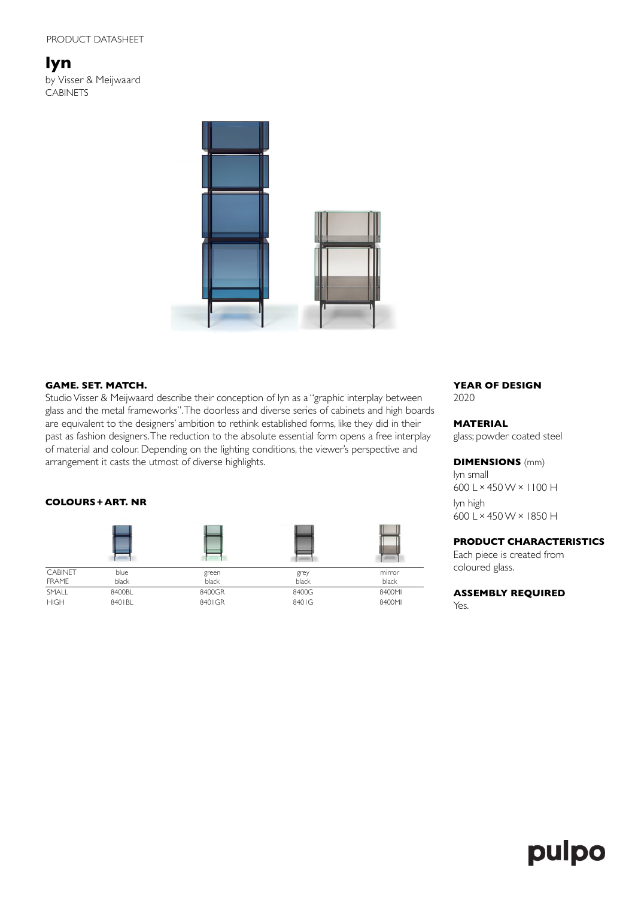**lyn** by Visser & Meijwaard CABINETS



### **GAME. SET. MATCH.**

Studio Visser & Meijwaard describe their conception of lyn as a "graphic interplay between glass and the metal frameworks". The doorless and diverse series of cabinets and high boards are equivalent to the designers' ambition to rethink established forms, like they did in their past as fashion designers. The reduction to the absolute essential form opens a free interplay of material and colour. Depending on the lighting conditions, the viewer's perspective and arrangement it casts the utmost of diverse highlights.

# **COLOURS+ART. NR**

| <b>CABINET</b> | blue   | green  | grey  | mirror |
|----------------|--------|--------|-------|--------|
| <b>FRAME</b>   | black  | black  | black | black  |
| SMALL          | 8400BL | 8400GR | 8400G | 8400MI |
| <b>HIGH</b>    | 8401BL | 8401GR | 8401G | 8400MI |

**YEAR OF DESIGN** 2020

**MATERIAL**

glass; powder coated steel

### **DIMENSIONS** (mm)

lyn small 600 L×450 W×1100 H lyn high 600 L×450 W×1850 H

# **PRODUCT CHARACTERISTICS**

Each piece is created from coloured glass.

**ASSEMBLY REQUIRED**

Yes.

# pulpo